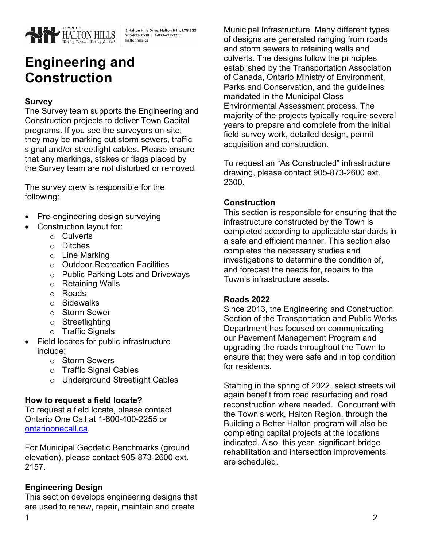

1 Halton Hills Drive, Halton Hills, L7G 5G2<br>905-873-2600 | 1-877-712-2205 haltonhills.ca

# **Engineering and Construction**

## **Survey**

The Survey team supports the Engineering and Construction projects to deliver Town Capital programs. If you see the surveyors on-site, they may be marking out storm sewers, traffic signal and/or streetlight cables. Please ensure that any markings, stakes or flags placed by the Survey team are not disturbed or removed.

The survey crew is responsible for the following:

- Pre-engineering design surveying
- Construction layout for:
	- o Culverts
	- o Ditches
	- o Line Marking
	- o Outdoor Recreation Facilities
	- o Public Parking Lots and Driveways
	- o Retaining Walls
	- o Roads
	- o Sidewalks
	- o Storm Sewer
	- o Streetlighting
	- o Traffic Signals
- Field locates for public infrastructure include:
	- o Storm Sewers
	- o Traffic Signal Cables
	- o Underground Streetlight Cables

#### **How to request a field locate?**

To request a field locate, please contact Ontario One Call at 1-800-400-2255 or [ontarioonecall.c](http://www.on1call.com/)[a.](https://ontarioonecall.ca)

For Municipal Geodetic Benchmarks (ground elevation), please contact 905-873-2600 ext. 2157.

#### **Engineering Design**

This section develops engineering designs that are used to renew, repair, maintain and create

Municipal Infrastructure. Many different types of designs are generated ranging from roads and storm sewers to retaining walls and culverts. The designs follow the principles established by the Transportation Association of Canada, Ontario Ministry of Environment, Parks and Conservation, and the guidelines mandated in the Municipal Class Environmental Assessment process. The majority of the projects typically require several years to prepare and complete from the initial field survey work, detailed design, permit acquisition and construction.

To request an "As Constructed" infrastructure drawing, please contact 905-873-2600 ext. 2300.

#### **Construction**

This section is responsible for ensuring that the infrastructure constructed by the Town is completed according to applicable standards in a safe and efficient manner. This section also completes the necessary studies and investigations to determine the condition of, and forecast the needs for, repairs to the Town's infrastructure assets.

#### **Roads 2022**

Since 2013, the Engineering and Construction Section of the Transportation and Public Works Department has focused on communicating our Pavement Management Program and upgrading the roads throughout the Town to ensure that they were safe and in top condition for residents.

Starting in the spring of 2022, select streets will again benefit from road resurfacing and road reconstruction where needed. Concurrent with the Town's work, Halton Region, through the Building a Better Halton program will also be completing capital projects at the locations indicated. Also, this year, significant bridge rehabilitation and intersection improvements are scheduled.